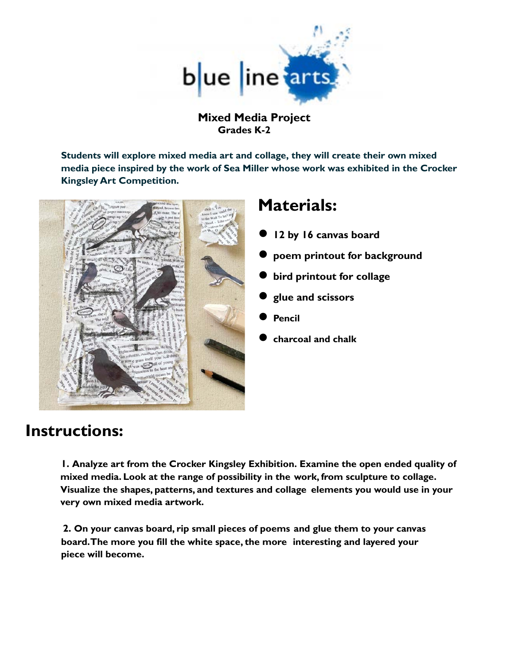

**Mixed Media Project Grades K-2**

**Students will explore mixed media art and collage, they will create their own mixed media piece inspired by the work of Sea Miller whose work was exhibited in the Crocker Kingsley Art Competition.**



## **Materials:**

- **● 12 by 16 canvas board**
- **● poem printout for background**
- **● bird printout for collage**
- **● glue and scissors**
- **● Pencil**
- **● charcoal and chalk**

## **Instructions:**

**1. Analyze art from the Crocker Kingsley Exhibition. Examine the open ended quality of mixed media. Look at the range of possibility in the work, from sculpture to collage. Visualize the shapes, patterns, and textures and collage elements you would use in your very own mixed media artwork.**

**2. On your canvas board, rip small pieces of poems and glue them to your canvas board. The more you fill the white space, the more interesting and layered your piece will become.**